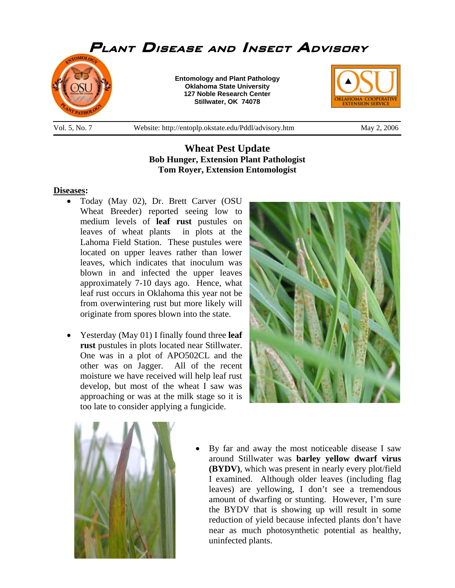

## **Wheat Pest Update Bob Hunger, Extension Plant Pathologist Tom Royer, Extension Entomologist**

## **Diseases:**

- Today (May 02), Dr. Brett Carver (OSU Wheat Breeder) reported seeing low to medium levels of **leaf rust** pustules on leaves of wheat plants in plots at the Lahoma Field Station. These pustules were located on upper leaves rather than lower leaves, which indicates that inoculum was blown in and infected the upper leaves approximately 7-10 days ago. Hence, what leaf rust occurs in Oklahoma this year not be from overwintering rust but more likely will originate from spores blown into the state.
- Yesterday (May 01) I finally found three **leaf rust** pustules in plots located near Stillwater. One was in a plot of APO502CL and the other was on Jagger. All of the recent moisture we have received will help leaf rust develop, but most of the wheat I saw was approaching or was at the milk stage so it is too late to consider applying a fungicide.





• By far and away the most noticeable disease I saw around Stillwater was **barley yellow dwarf virus (BYDV)**, which was present in nearly every plot/field I examined. Although older leaves (including flag leaves) are yellowing, I don't see a tremendous amount of dwarfing or stunting. However, I'm sure the BYDV that is showing up will result in some reduction of yield because infected plants don't have near as much photosynthetic potential as healthy, uninfected plants.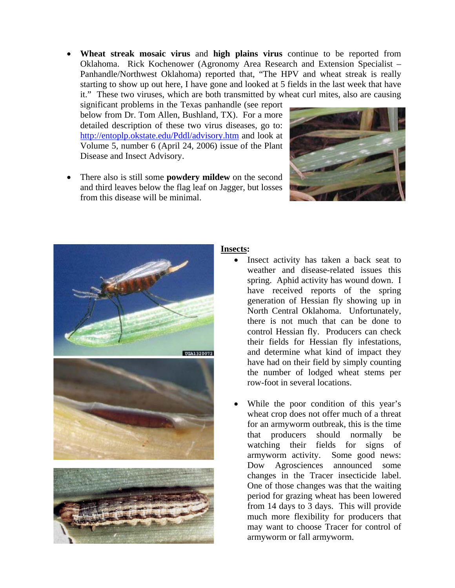• **Wheat streak mosaic virus** and **high plains virus** continue to be reported from Oklahoma. Rick Kochenower (Agronomy Area Research and Extension Specialist – Panhandle/Northwest Oklahoma) reported that, "The HPV and wheat streak is really starting to show up out here, I have gone and looked at 5 fields in the last week that have it." These two viruses, which are both transmitted by wheat curl mites, also are causing

significant problems in the Texas panhandle (see report below from Dr. Tom Allen, Bushland, TX). For a more detailed description of these two virus diseases, go to: http://entoplp.okstate.edu/Pddl/advisory.htm and look at Volume 5, number 6 (April 24, 2006) issue of the Plant Disease and Insect Advisory.

• There also is still some **powdery mildew** on the second and third leaves below the flag leaf on Jagger, but losses from this disease will be minimal.





## **Insects:**

- Insect activity has taken a back seat to weather and disease-related issues this spring. Aphid activity has wound down. I have received reports of the spring generation of Hessian fly showing up in North Central Oklahoma. Unfortunately, there is not much that can be done to control Hessian fly. Producers can check their fields for Hessian fly infestations, and determine what kind of impact they have had on their field by simply counting the number of lodged wheat stems per row-foot in several locations.
- While the poor condition of this year's wheat crop does not offer much of a threat for an armyworm outbreak, this is the time that producers should normally be watching their fields for signs of armyworm activity. Some good news: Dow Agrosciences announced some changes in the Tracer insecticide label. One of those changes was that the waiting period for grazing wheat has been lowered from 14 days to 3 days. This will provide much more flexibility for producers that may want to choose Tracer for control of armyworm or fall armyworm.